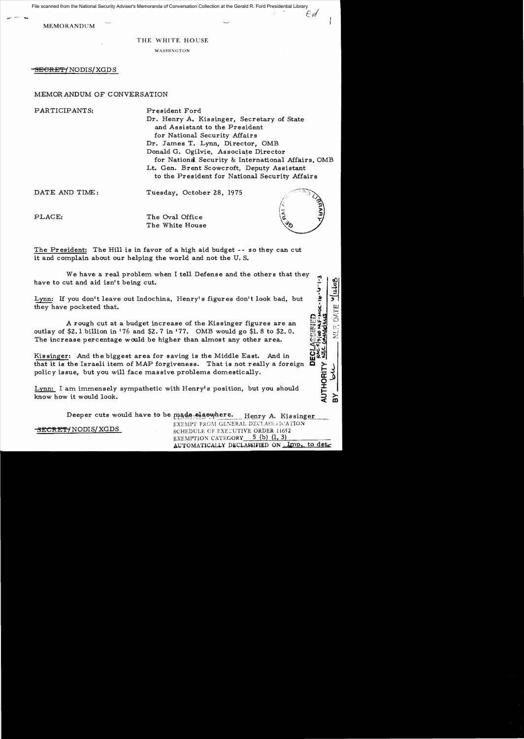File scanned from the National Security Adviser's Memoranda of Conversation Collection at the Gerald R. Ford Presidential Library

MEMORANDUM

 $-$ 

## THE WHITE HOUSE

WASHIXGTON

<del>SECRET/</del> NODIS/XGDS

## MEMORANDUM OF CONVERSATION

PARTICIPANTS: President Ford Dr. Henry A. Kissinger, Secretary of State and Assistant to the President for National Security Affairs Dr. James T. Lynn, Director, OMB Donald G. Ogilvie, Associate Director for National Security & International Affairs, OMB Lt. Gen. Brent Scowcroft, Deputy Assistant to the President for National Security Affairs DATE AND TIME: Tuesday, October 28, 1975

PLACE: The Oval Office The White House

The President: The Hill is in favor of a high aid budget -- so they can cut it and complain about our helping the world and not the U. S.

We have a real problem when I tell Defense and the others that they have to cut and aid isn't being cut.

Lynn: If you don't leave out Indochina, Henry's figures don't look bad, but they have pocketed that.

A rough cut at a budget increase of the Kissinger figures are an outlay of \$2.1 billion in '76 and \$2. 7 in '77. OMB would go \$1. 8 to \$2. O. The increase percentage would be higher than almost any other area.

Kissinger: And the biggest area for saving is the Middle East. And in that it is the Israeli item of MAP forgiveness. That is not really a foreign policy issue, but you will face massive problems domestically.

Lynn: I am immensely sympathetic with Henry's position, but you should know how it would look.

> Deeper cuts would have to be made-elsewhere. Henry A. Kissinger

SECRET / NODIS / XGDS

SCHEDULE OF EXECUTIVE ORDER 11652 EXEMPTION CATEGORY  $5$  (b) (1, 3) AUTOMATICALLY DECLASSIFIED ON Imp. to det

EXEMPT FROM GENERAL DECLASS:FICATION

**BON-1-9-9-4-502-47280** 

⊽

૱<br>૱ DEC

**AUTHORITY** ݢ

 $\gtrsim$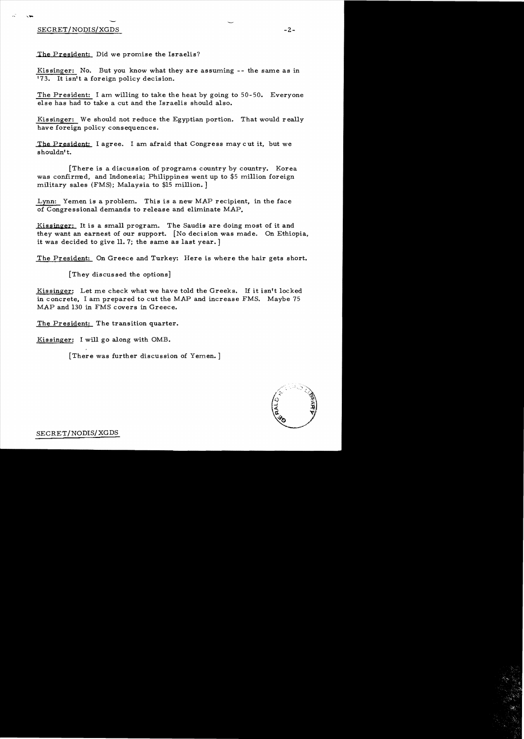## SECRET/NODIS/XGDS -2-

The President; Did we promise the Israelis?

Kissinger: No. But you know what they are assuming -- the same as in '73. It isn't a foreign policy decision.

The President: I am willing to take the heat by going to 50-50. Everyone else has had to take a cut and the Israelis should also.

Kissinger: We should not reduce the Egyptian portion. That would really have foreign policy consequences.

The President: I agree. I am afraid that Congress may cut it, but we shouldn't.

[There is a discussion of programs country by country. Korea was confirmed, and Indonesia; Philippines went up to \$5 million foreign military sales (FMS); Malaysia to \$15 million. ]

Lynn: Yemen is a problem. This is a new MAP recipient, in the face of Congressional demands to release and eliminate MAP.

Kissinger: It is a small program. The Saudis are doing most of it and they want an earnest of our support. [No decision was made. On Ethiopia, it was decided to give 11.7; the same as last year. ]

The President: On Greece and Turkey: Here is where the hair gets short.

[They discussed the options]

Kissinger: Let me check what we have told the Greeks. If it isn't locked in concrete, I am prepared to cut the MAP and increase FMS. Maybe 75 MAP and 130 in FMS covers in Greece.

The President: The transition quarter.

Kissinger: I will go along with OMB.

[There was further discussion of Yemen. ]

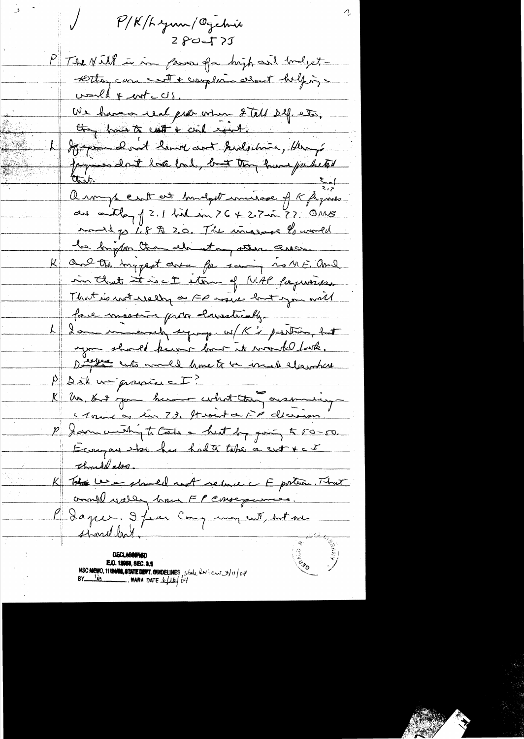$P/K$ /h zum/Ogebnie  $280 - 77$ PT se Nill in in fame for high and brodgetsetting can cent & complain almost helping would & cont c US. Us have real pres ortion 2 tell 24.05. Hope dont bend and helebin Herry Jaques dont hate bad, but they have partited armyte ent est hudget imissage of K figures. au author of 2.1 hid in 26 + 2.7 in 7? OMB mond po 1.8 A 2.0. The increase bourned he bright than almost any other are. and the ingrest circa for saining no MF. and in that it is ct ston of MAP fagureus. That is not really a FP move but you will face mostin prove husstrially L I am immersely signing. W/K's prosting but you should know how it would look. Differents would have to be included  $P$  parl un prince  $\Sigma$ ? R Un 50 pour burner colort the assuming a saint as lin 73. Stront a FP devision. P Januard to Cals a hust by giving to 50-50. Ecoupon side has hadte take a crot x c I thought also. K The Use should not relate to portion. That and wally have FP ensequences. Plague, 9 from Comp mon cut, but me shouldn't. E.O. 12058, SEC. 3.5 NSC MEMO, 11/2000, STATE DEPT. QUIDELINES, State levices 3/11/04